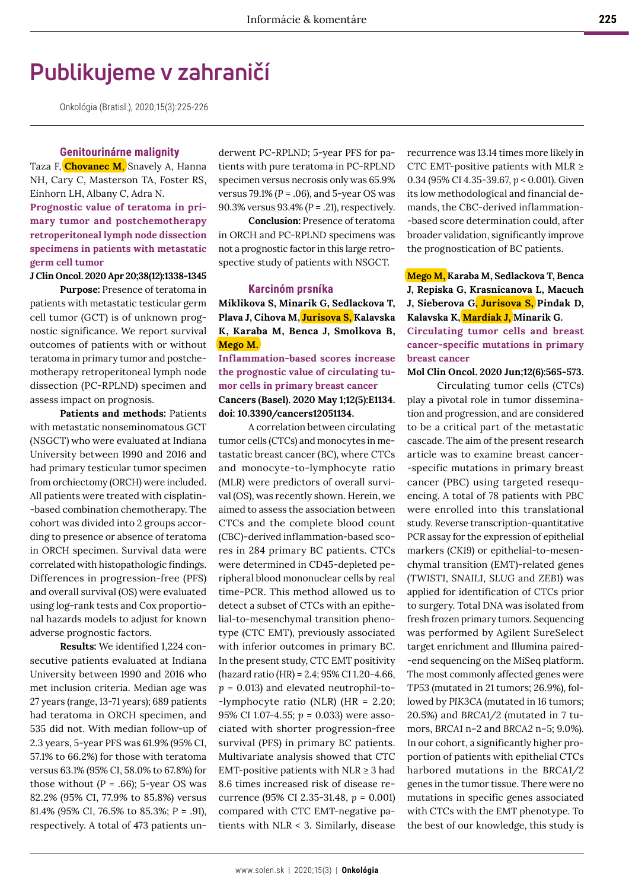# **Publikujeme v zahraničí**

Onkológia (Bratisl.), 2020;15(3):225-226

## **Genitourinárne malignity**

Taza F, **Chovanec M**, Snavely A, Hanna NH, Cary C, Masterson TA, Foster RS, Einhorn LH, Albany C, Adra N. **Prognostic value of teratoma in primary tumor and postchemotherapy retroperitoneal lymph node dissection specimens in patients with metastatic germ cell tumor**

## **J Clin Oncol. 2020 Apr 20;38(12):1338-1345**

**Purpose:** Presence of teratoma in patients with metastatic testicular germ cell tumor (GCT) is of unknown prognostic significance. We report survival outcomes of patients with or without teratoma in primary tumor and postchemotherapy retroperitoneal lymph node dissection (PC-RPLND) specimen and assess impact on prognosis.

**Patients and methods:** Patients with metastatic nonseminomatous GCT (NSGCT) who were evaluated at Indiana University between 1990 and 2016 and had primary testicular tumor specimen from orchiectomy (ORCH) were included. All patients were treated with cisplatin- -based combination chemotherapy. The cohort was divided into 2 groups according to presence or absence of teratoma in ORCH specimen. Survival data were correlated with histopathologic findings. Differences in progression-free (PFS) and overall survival (OS) were evaluated using log-rank tests and Cox proportional hazards models to adjust for known adverse prognostic factors.

**Results:** We identified 1,224 consecutive patients evaluated at Indiana University between 1990 and 2016 who met inclusion criteria. Median age was 27 years (range, 13-71 years); 689 patients had teratoma in ORCH specimen, and 535 did not. With median follow-up of 2.3 years, 5-year PFS was 61.9% (95% CI, 57.1% to 66.2%) for those with teratoma versus 63.1% (95% CI, 58.0% to 67.8%) for those without  $(P = .66)$ ; 5-year OS was 82.2% (95% CI, 77.9% to 85.8%) versus 81.4% (95% CI, 76.5% to 85.3%; *P* = .91), respectively. A total of 473 patients underwent PC-RPLND; 5-year PFS for patients with pure teratoma in PC-RPLND specimen versus necrosis only was 65.9% versus 79.1% (*P* = .06), and 5-year OS was 90.3% versus 93.4% (*P* = .21), respectively.

**Conclusion:** Presence of teratoma in ORCH and PC-RPLND specimens was not a prognostic factor in this large retrospective study of patients with NSGCT.

#### **Karcinóm prsníka**

**Miklikova S, Minarik G, Sedlackova T, Plava J, Cihova M, Jurisova S, Kalavska K, Karaba M, Benca J, Smolkova B, Mego M.**

**Inflammation-based scores increase the prognostic value of circulating tumor cells in primary breast cancer Cancers (Basel). 2020 May 1;12(5):E1134. doi: 10.3390/cancers12051134.**

A correlation between circulating tumor cells (CTCs) and monocytes in metastatic breast cancer (BC), where CTCs and monocyte-to-lymphocyte ratio (MLR) were predictors of overall survival (OS), was recently shown. Herein, we aimed to assess the association between CTCs and the complete blood count (CBC)-derived inflammation-based scores in 284 primary BC patients. CTCs were determined in CD45-depleted peripheral blood mononuclear cells by real time-PCR. This method allowed us to detect a subset of CTCs with an epithelial-to-mesenchymal transition phenotype (CTC EMT), previously associated with inferior outcomes in primary BC. In the present study, CTC EMT positivity (hazard ratio (HR) = 2.4; 95% CI 1.20-4.66, *p* = 0.013) and elevated neutrophil-to- -lymphocyte ratio (NLR) (HR = 2.20; 95% CI 1.07-4.55; *p* = 0.033) were associated with shorter progression-free survival (PFS) in primary BC patients. Multivariate analysis showed that CTC EMT-positive patients with  $NLR \geq 3$  had 8.6 times increased risk of disease recurrence (95% CI 2.35-31.48, *p* = 0.001) compared with CTC EMT-negative patients with NLR < 3. Similarly, disease

recurrence was 13.14 times more likely in CTC EMT-positive patients with MLR  $\geq$ 0.34 (95% CI 4.35-39.67, *p* < 0.001). Given its low methodological and financial demands, the CBC-derived inflammation- -based score determination could, after broader validation, significantly improve the prognostication of BC patients.

**Mego M, Karaba M, Sedlackova T, Benca J, Repiska G, Krasnicanova L, Macuch J, Sieberova G, Jurisova S, Pindak D, Kalavska K, Mardiak J, Minarik G. Circulating tumor cells and breast cancer-specific mutations in primary** 

**breast cancer**

## **Mol Clin Oncol. 2020 Jun;12(6):565-573.**

Circulating tumor cells (CTCs) play a pivotal role in tumor dissemination and progression, and are considered to be a critical part of the metastatic cascade. The aim of the present research article was to examine breast cancer- -specific mutations in primary breast cancer (PBC) using targeted resequencing. A total of 78 patients with PBC were enrolled into this translational study. Reverse transcription-quantitative PCR assay for the expression of epithelial markers (*CK19*) or epithelial-to-mesenchymal transition (EMT)-related genes (*TWIST1*, *SNAIL1*, *SLUG* and *ZEB1*) was applied for identification of CTCs prior to surgery. Total DNA was isolated from fresh frozen primary tumors. Sequencing was performed by Agilent SureSelect target enrichment and Illumina paired- -end sequencing on the MiSeq platform. The most commonly affected genes were *TP53* (mutated in 21 tumors; 26.9%), followed by *PIK3CA* (mutated in 16 tumors; 20.5%) and *BRCA1/2* (mutated in 7 tumors, *BRCA1* n=2 and *BRCA2* n=5; 9.0%). In our cohort, a significantly higher proportion of patients with epithelial CTCs harbored mutations in the *BRCA1/2* genes in the tumor tissue. There were no mutations in specific genes associated with CTCs with the EMT phenotype. To the best of our knowledge, this study is